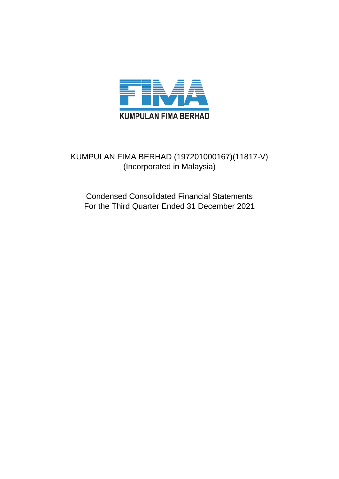

## KUMPULAN FIMA BERHAD (197201000167)(11817-V) (Incorporated in Malaysia)

Condensed Consolidated Financial Statements For the Third Quarter Ended 31 December 2021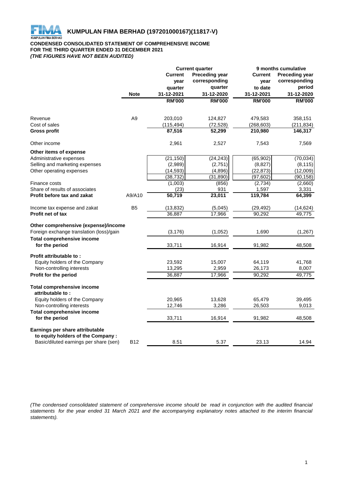

## **CONDENSED CONSOLIDATED STATEMENT OF COMPREHENSIVE INCOME FOR THE THIRD QUARTER ENDED 31 DECEMBER 2021** *(THE FIGURES HAVE NOT BEEN AUDITED)*

|                                                                       | <b>Current quarter</b> |                                         | 9 months cumulative |                |                       |  |
|-----------------------------------------------------------------------|------------------------|-----------------------------------------|---------------------|----------------|-----------------------|--|
|                                                                       |                        | <b>Preceding year</b><br><b>Current</b> |                     | <b>Current</b> | <b>Preceding year</b> |  |
|                                                                       |                        | year                                    | corresponding       | year           | corresponding         |  |
|                                                                       |                        | quarter                                 | quarter             | to date        | period                |  |
|                                                                       | <b>Note</b>            | 31-12-2021                              | 31-12-2020          | 31-12-2021     | 31-12-2020            |  |
|                                                                       |                        | <b>RM'000</b>                           | <b>RM'000</b>       | <b>RM'000</b>  | <b>RM'000</b>         |  |
|                                                                       |                        |                                         |                     |                |                       |  |
| Revenue                                                               | A <sub>9</sub>         | 203,010                                 | 124,827             | 479,583        | 358,151               |  |
| Cost of sales                                                         |                        | (115, 494)                              | (72, 528)           | (268, 603)     | (211, 834)            |  |
| <b>Gross profit</b>                                                   |                        | 87,516                                  | 52,299              | 210,980        | 146,317               |  |
| Other income                                                          |                        | 2,961                                   | 2,527               | 7,543          | 7,569                 |  |
| Other items of expense                                                |                        |                                         |                     |                |                       |  |
| Administrative expenses                                               |                        | (21, 150)                               | (24, 243)           | (65, 902)      | (70, 034)             |  |
| Selling and marketing expenses                                        |                        | (2,989)                                 | (2,751)             | (8,827)        | (8, 115)              |  |
| Other operating expenses                                              |                        | (14, 593)                               | (4,896)             | (22, 873)      | (12,009)              |  |
|                                                                       |                        | (38, 732)                               | (31, 890)           | (97, 602)      | (90, 158)             |  |
| Finance costs                                                         |                        | (1,003)                                 | (856)               | (2,734)        | (2,660)               |  |
| Share of results of associates                                        |                        | (23)                                    | 931                 | 1,597          | 3,331                 |  |
| Profit before tax and zakat                                           | A9/A10                 | 50,719                                  | 23,011              | 119,784        | 64,399                |  |
| Income tax expense and zakat                                          | B <sub>5</sub>         | (13, 832)                               | (5,045)             | (29, 492)      | (14, 624)             |  |
| <b>Profit net of tax</b>                                              |                        | 36,887                                  | 17,966              | 90,292         | 49,775                |  |
| Other comprehensive (expense)/income                                  |                        |                                         |                     |                |                       |  |
| Foreign exchange translation (loss)/gain                              |                        | (3, 176)                                | (1,052)             | 1,690          | (1, 267)              |  |
| <b>Total comprehensive income</b>                                     |                        |                                         |                     |                |                       |  |
| for the period                                                        |                        | 33,711                                  | 16,914              | 91,982         | 48,508                |  |
| Profit attributable to:                                               |                        |                                         |                     |                |                       |  |
| Equity holders of the Company                                         |                        | 23,592                                  | 15,007              | 64,119         | 41,768                |  |
| Non-controlling interests                                             |                        | 13,295                                  | 2,959               | 26,173         | 8,007                 |  |
| <b>Profit for the period</b>                                          |                        | 36,887                                  | 17,966              | 90,292         | 49,775                |  |
| <b>Total comprehensive income</b><br>attributable to:                 |                        |                                         |                     |                |                       |  |
| Equity holders of the Company                                         |                        | 20,965                                  | 13,628              | 65,479         | 39,495                |  |
| Non-controlling interests                                             |                        | 12,746                                  | 3,286               | 26,503         | 9,013                 |  |
| <b>Total comprehensive income</b>                                     |                        |                                         |                     |                |                       |  |
| for the period                                                        |                        | 33,711                                  | 16,914              | 91,982         | 48,508                |  |
| Earnings per share attributable<br>to equity holders of the Company : |                        |                                         |                     |                |                       |  |
| Basic/diluted earnings per share (sen)                                | <b>B12</b>             | 8.51                                    | 5.37                | 23.13          | 14.94                 |  |

(The condensed consolidated statement of comprehensive income should be read in conjunction with the audited financial statements for the year ended 31 March 2021 and the accompanying explanatory notes attached to the interim financial *statements).*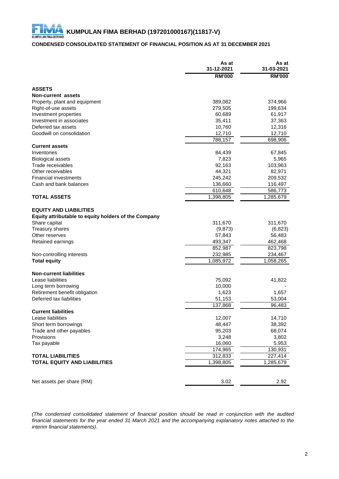## **CONDENSED CONSOLIDATED STATEMENT OF FINANCIAL POSITION AS AT 31 DECEMBER 2021**

|                                                      | As at<br>31-12-2021 | As at<br>31-03-2021 |
|------------------------------------------------------|---------------------|---------------------|
|                                                      | <b>RM'000</b>       | <b>RM'000</b>       |
| <b>ASSETS</b>                                        |                     |                     |
| Non-current assets                                   |                     |                     |
| Property, plant and equipment                        | 389,082             | 374,966             |
| Right-of-use assets                                  | 279,505             | 199,634             |
| Investment properties                                | 60,689              | 61,917              |
| Investment in associates                             | 35,411              | 37,363              |
| Deferred tax assets                                  | 10,760              | 12,316              |
| Goodwill on consolidation                            | 12,710              | 12,710              |
|                                                      | 788,157             | 698,906             |
| <b>Current assets</b>                                |                     |                     |
| Inventories                                          | 84,439              | 67,845              |
| <b>Biological assets</b>                             | 7,823               | 5,965               |
| Trade receivables                                    | 92,163              | 103,963             |
| Other receivables                                    | 44,321              | 82,971              |
| <b>Financial investments</b>                         | 245,242             | 209,532             |
| Cash and bank balances                               | 136,660             | 116,497             |
|                                                      | 610,648             | 586,773             |
| <b>TOTAL ASSETS</b>                                  | 1,398,805           | 1,285,679           |
| <b>EQUITY AND LIABILITIES</b>                        |                     |                     |
| Equity attributable to equity holders of the Company |                     |                     |
| Share capital                                        | 311,670             | 311,670             |
| Treasury shares                                      | (9,873)             | (6, 823)            |
| Other reserves                                       | 57,843              | 56,483              |
| Retained earnings                                    | 493,347             | 462,468             |
|                                                      | 852,987             | 823,798             |
| Non-controlling interests                            | 232,985             | 234,467             |
| <b>Total equity</b>                                  | 1,085,972           | 1,058,265           |
|                                                      |                     |                     |
| <b>Non-current liabilities</b>                       |                     |                     |
| Lease liabilities                                    | 75,092              | 41,822              |
| Long term borrowing<br>Retirement benefit obligation | 10,000<br>1,623     | 1,657               |
| Deferred tax liabilities                             | 51,153              | 53,004              |
|                                                      | 137,868             | 96,483              |
| <b>Current liabilities</b>                           |                     |                     |
| Lease liabilities                                    | 12,007              | 14,710              |
| Short term borrowings                                | 48,447              | 38,392              |
| Trade and other payables                             | 95,203              | 68,074              |
| Provisions                                           | 3,248               | 3,802               |
| Tax payable                                          | 16,060              | 5,953               |
|                                                      | 174,965             | 130,931             |
| <b>TOTAL LIABILITIES</b>                             | 312,833             | 227,414             |
| <b>TOTAL EQUITY AND LIABILITIES</b>                  | 1,398,805           | 1,285,679           |
|                                                      |                     |                     |
|                                                      |                     |                     |
| Net assets per share (RM)                            | 3.02                | 2.92                |

*(The condensed consolidated statement of financial position should be read in conjunction with the audited* financial statements for the year ended 31 March 2021 and the accompanying explanatory notes attached to the *interim financial statements).*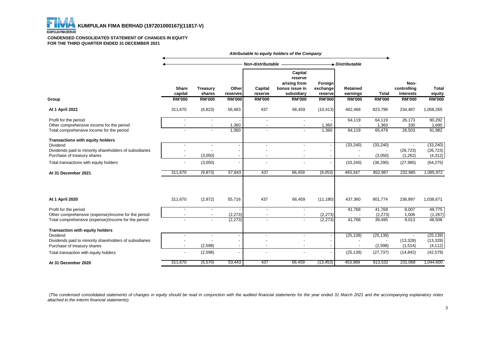#### **CONDENSED CONSOLIDATED STATEMENT OF CHANGES IN EQUITY FOR THE THIRD QUARTER ENDED 31 DECEMBER 2021**

|                                                                                                                                                                                       | Attributable to equity holders of the Company |                                      |                          |                                                      |                                                                        |                                |                        |                                    |                                    |                                                 |
|---------------------------------------------------------------------------------------------------------------------------------------------------------------------------------------|-----------------------------------------------|--------------------------------------|--------------------------|------------------------------------------------------|------------------------------------------------------------------------|--------------------------------|------------------------|------------------------------------|------------------------------------|-------------------------------------------------|
|                                                                                                                                                                                       | Non-distributable -                           |                                      |                          |                                                      | $\rightarrow$ Distributable                                            |                                |                        |                                    |                                    |                                                 |
|                                                                                                                                                                                       | <b>Share</b><br>capital                       | Treasury<br>shares                   | Other<br>reserves        | Capital<br>reserve                                   | Capital<br>reserve<br>arising from<br>bonus issue in<br>subsidiary     | Foreign<br>exchange<br>reserve | Retained<br>earnings   | <b>Total</b>                       | Non-<br>controlling<br>interests   | <b>Total</b><br>equity                          |
| Group                                                                                                                                                                                 | <b>RM'000</b>                                 | <b>RM'000</b>                        | <b>RM'000</b>            | <b>RM'000</b>                                        | <b>RM'000</b>                                                          | <b>RM'000</b>                  | <b>RM'000</b>          | <b>RM'000</b>                      | <b>RM'000</b>                      | <b>RM'000</b>                                   |
| At 1 April 2021                                                                                                                                                                       | 311,670                                       | (6, 823)                             | 56,483                   | 437                                                  | 66,459                                                                 | (10, 413)                      | 462,468                | 823,798                            | 234,467                            | 1,058,265                                       |
| Profit for the period<br>Other comprehensive income for the period<br>Total comprehensive income for the period                                                                       |                                               | $\overline{\phantom{a}}$             | 1,360<br>1,360           | $\blacksquare$<br>$\blacksquare$                     | $\blacksquare$<br>$\overline{\phantom{a}}$                             | 1,360<br>1,360                 | 64,119<br>64,119       | 64,119<br>1,360<br>65,479          | 26,173<br>330<br>26,503            | 90,292<br>1,690<br>91,982                       |
| Transactions with equity holders<br>Dividend<br>Dividends paid to minority shareholders of subsidiaries<br>Purchase of treasury shares<br>Total transactions with equity holders      |                                               | $\overline{a}$<br>(3,050)<br>(3,050) | $\overline{\phantom{a}}$ | $\overline{a}$<br>$\overline{\phantom{a}}$           | $\overline{\phantom{a}}$<br>$\overline{\phantom{a}}$<br>$\overline{a}$ |                                | (33, 240)<br>(33, 240) | (33, 240)<br>(3,050)<br>(36, 290)  | (26, 723)<br>(1,262)<br>(27, 985)  | (33, 240)<br>(26, 723)<br>(4, 312)<br>(64, 275) |
| At 31 December 2021                                                                                                                                                                   | 311.670                                       | (9, 873)                             | 57,843                   | 437                                                  | 66,459                                                                 | (9,053)                        | 493,347                | 852,987                            | 232,985                            | 1,085,972                                       |
| <b>At 1 April 2020</b>                                                                                                                                                                | 311,670                                       | (2,972)                              | 55,716                   | 437                                                  | 66,459                                                                 | (11, 180)                      | 437,360                | 801,774                            | 236,897                            | 1,038,671                                       |
| Profit for the period<br>Other comprehensive (expense)/income for the period<br>Total comprehensive (expense)/income for the period                                                   |                                               | $\blacksquare$                       | (2, 273)<br>(2, 273)     | $\overline{\phantom{a}}$<br>$\overline{\phantom{a}}$ | $\overline{\phantom{a}}$<br>$\overline{\phantom{a}}$                   | (2, 273)<br>(2, 273)           | 41,768<br>41,768       | 41,768<br>(2, 273)<br>39,495       | 8,007<br>1,006<br>9,013            | 49,775<br>(1,267)<br>48,508                     |
| <b>Transaction with equity holders</b><br>Dividend<br>Dividends paid to minority shareholders of subsidiaries<br>Purchase of treasury shares<br>Total transaction with equity holders |                                               | (2,598)<br>(2,598)                   |                          | ٠                                                    |                                                                        |                                | (25, 139)<br>(25, 139) | (25, 139)<br>(2, 598)<br>(27, 737) | (13, 328)<br>(1, 514)<br>(14, 842) | (25, 139)<br>(13, 328)<br>(4, 112)<br>(42, 579) |
| At 31 December 2020                                                                                                                                                                   | 311.670                                       | (5,570)                              | 53,443                   | 437                                                  | 66,459                                                                 | (13, 453)                      | 453,989                | 813,532                            | 231,068                            | 1,044,600                                       |

(The condensed consolidated statements of changes in equity should be read in conjunction with the audited financial statements for the year ended 31 March 2021 and the accompanying explanatory notes *attached to the interim financial statements).*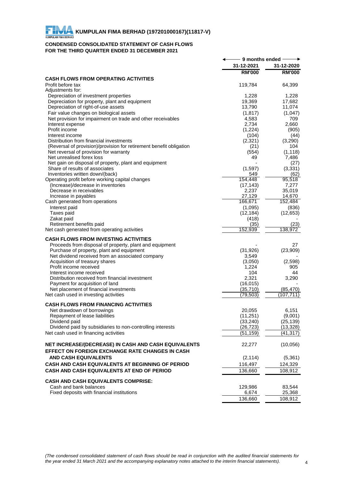## **CONDENSED CONSOLIDATED STATEMENT OF CASH FLOWS FOR THE THIRD QUARTER ENDED 31 DECEMBER 2021**

|                                                                                    | - 9 months ended - |                        |
|------------------------------------------------------------------------------------|--------------------|------------------------|
|                                                                                    | 31-12-2021         | 31-12-2020             |
|                                                                                    | <b>RM'000</b>      | <b>RM'000</b>          |
| <b>CASH FLOWS FROM OPERATING ACTIVITIES</b>                                        |                    |                        |
| Profit before tax                                                                  | 119,784            | 64,399                 |
| Adjustments for:<br>Depreciation of investment properties                          | 1,228              | 1,228                  |
| Depreciation for property, plant and equipment                                     | 19,369             | 17,682                 |
| Depreciation of right-of-use assets                                                | 13,790             | 11,074                 |
| Fair value changes on biological assets                                            | (1, 817)           | (1,047)                |
| Net provision for impairment on trade and other receivables                        | 4,583              | 709                    |
| Interest expense                                                                   | 2,734              | 2.660                  |
| Profit income                                                                      | (1, 224)           | (905)                  |
| Interest income                                                                    | (104)              | (44)                   |
| Distribution from financial investments                                            | (2,321)            | (3,290)                |
| (Reversal of provision)/provision for retirement benefit obligation                | (21)               | 104                    |
| Net reversal of provision for warranty                                             | (554)              | (1, 118)               |
| Net unrealised forex loss                                                          | 49                 | 7,486                  |
| Net gain on disposal of property, plant and equipment                              |                    | (27)                   |
| Share of results of associates<br>Inventories written down/(back)                  | (1,597)<br>549     | (3, 331)<br>(62)       |
| Operating profit before working capital changes                                    | 154,448            | 95,518                 |
| (Increase)/decrease in inventories                                                 | (17, 143)          | 7,277                  |
| Decrease in receivables                                                            | 2,237              | 35,019                 |
| Increase in payables                                                               | 27,129             | 14,670                 |
| Cash generated from operations                                                     | 166,671            | 152,484                |
| Interest paid                                                                      | (1,095)            | (836)                  |
| Taxes paid                                                                         | (12, 184)          | (12, 653)              |
| Zakat paid                                                                         | (418)              |                        |
| Retirement benefits paid                                                           | (35)               | (23)                   |
| Net cash generated from operating activities                                       | 152,939            | 138,972                |
| <b>CASH FLOWS FROM INVESTING ACTIVITIES</b>                                        |                    |                        |
| Proceeds from disposal of property, plant and equipment                            |                    | 27                     |
| Purchase of property, plant and equipment                                          | (31, 926)          | (23,909)               |
| Net dividend received from an associated company                                   | 3,549              |                        |
| Acquisition of treasury shares                                                     | (3,050)            | (2,598)                |
| Profit income received                                                             | 1,224              | 905                    |
| Interest income received                                                           | 104                | 44                     |
| Distribution received from financial investment<br>Payment for acquisition of land | 2,321<br>(16, 015) | 3,290                  |
| Net placement of financial investments                                             | (35, 710)          | (85, 470)              |
| Net cash used in investing activities                                              | (79, 503)          | (107,711               |
|                                                                                    |                    |                        |
| <b>CASH FLOWS FROM FINANCING ACTIVITIES</b>                                        |                    |                        |
| Net drawdown of borrowings                                                         | 20,055             | 6,151                  |
| Repayment of lease liabilities                                                     | (11, 251)          | (9,001)                |
| Dividend paid                                                                      | (33, 240)          | (25, 139)<br>(13, 328) |
| Dividend paid by subsidiaries to non-controlling interests                         | (26, 723)          |                        |
| Net cash used in financing activities                                              | (51, 159)          | (41, 317)              |
| NET INCREASE/(DECREASE) IN CASH AND CASH EQUIVALENTS                               | 22,277             | (10,056)               |
| <b>EFFECT ON FOREIGN EXCHANGE RATE CHANGES IN CASH</b>                             |                    |                        |
| <b>AND CASH EQUIVALENTS</b>                                                        | (2, 114)           | (5,361)                |
| CASH AND CASH EQUIVALENTS AT BEGINNING OF PERIOD                                   | 116,497            | 124,329                |
| CASH AND CASH EQUIVALENTS AT END OF PERIOD                                         | 136,660            | 108,912                |
|                                                                                    |                    |                        |
| <b>CASH AND CASH EQUIVALENTS COMPRISE:</b>                                         |                    |                        |
| Cash and bank balances                                                             | 129,986            | 83,544                 |
| Fixed deposits with financial institutions                                         | 6,674              | 25,368                 |
|                                                                                    | 136,660            | 108,912                |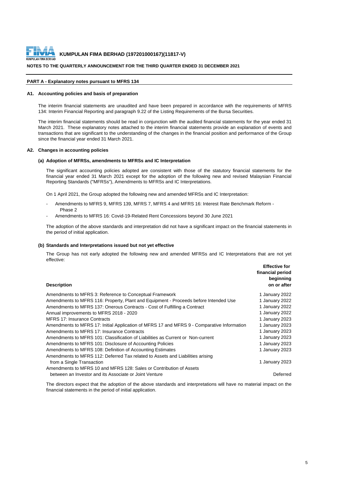

#### **NOTES TO THE QUARTERLY ANNOUNCEMENT FOR THE THIRD QUARTER ENDED 31 DECEMBER 2021**

#### **PART A - Explanatory notes pursuant to MFRS 134**

#### **A1. Accounting policies and basis of preparation**

The interim financial statements are unaudited and have been prepared in accordance with the requirements of MFRS 134: Interim Financial Reporting and paragraph 9.22 of the Listing Requirements of the Bursa Securities.

The interim financial statements should be read in conjunction with the audited financial statements for the year ended 31 March 2021. These explanatory notes attached to the interim financial statements provide an explanation of events and transactions that are significant to the understanding of the changes in the financial position and performance of the Group since the financial year ended 31 March 2021.

#### **A2. Changes in accounting policies**

#### **(a) Adoption of MFRSs, amendments to MFRSs and IC Interpretation**

The significant accounting policies adopted are consistent with those of the statutory financial statements for the financial year ended 31 March 2021 except for the adoption of the following new and revised Malaysian Financial Reporting Standards ("MFRSs"), Amendments to MFRSs and IC Interpretations.

On 1 April 2021, the Group adopted the following new and amended MFRSs and IC Interpretation:

- Amendments to MFRS 9, MFRS 139, MFRS 7, MFRS 4 and MFRS 16: Interest Rate Benchmark Reform -Phase 2
- Amendments to MFRS 16: Covid-19-Related Rent Concessions beyond 30 June 2021

The adoption of the above standards and interpretation did not have a significant impact on the financial statements in the period of initial application.

#### **(b) Standards and Interpretations issued but not yet effective**

The Group has not early adopted the following new and amended MFRSs and IC Interpretations that are not yet effective:

| <b>Description</b>                                                                         | <b>Effective for</b><br>financial period<br>beginning<br>on or after |
|--------------------------------------------------------------------------------------------|----------------------------------------------------------------------|
| Amendments to MFRS 3: Reference to Conceptual Framework                                    | 1 January 2022                                                       |
| Amendments to MFRS 116: Property, Plant and Equipment - Proceeds before Intended Use       | 1 January 2022                                                       |
| Amendments to MFRS 137: Onerous Contracts - Cost of Fulfilling a Contract                  | 1 January 2022                                                       |
| Annual improvements to MFRS 2018 - 2020                                                    | 1 January 2022                                                       |
| <b>MFRS 17: Insurance Contracts</b>                                                        | 1 January 2023                                                       |
| Amendments to MFRS 17: Initial Application of MFRS 17 and MFRS 9 - Comparative Information | 1 January 2023                                                       |
| Amendments to MFRS 17: Insurance Contracts                                                 | 1 January 2023                                                       |
| Amendments to MFRS 101: Classification of Liabilities as Current or Non-current            | 1 January 2023                                                       |
| Amendments to MFRS 101: Disclosure of Accounting Policies                                  | 1 January 2023                                                       |
| Amendments to MFRS 108: Definition of Accounting Estimates                                 | 1 January 2023                                                       |
| Amendments to MFRS 112: Deferred Tax related to Assets and Liabilities arising             |                                                                      |
| from a Single Transaction                                                                  | 1 January 2023                                                       |
| Amendments to MFRS 10 and MFRS 128: Sales or Contribution of Assets                        |                                                                      |
| between an Investor and its Associate or Joint Venture                                     | Deferred                                                             |

The directors expect that the adoption of the above standards and interpretations will have no material impact on the financial statements in the period of initial application.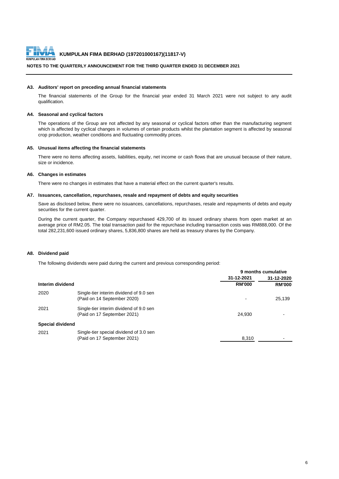

#### **NOTES TO THE QUARTERLY ANNOUNCEMENT FOR THE THIRD QUARTER ENDED 31 DECEMBER 2021**

#### **A3. Auditors' report on preceding annual financial statements**

The financial statements of the Group for the financial year ended 31 March 2021 were not subject to any audit qualification.

#### **A4. Seasonal and cyclical factors**

The operations of the Group are not affected by any seasonal or cyclical factors other than the manufacturing segment which is affected by cyclical changes in volumes of certain products whilst the plantation segment is affected by seasonal crop production, weather conditions and fluctuating commodity prices.

#### **A5. Unusual items affecting the financial statements**

There were no items affecting assets, liabilities, equity, net income or cash flows that are unusual because of their nature, size or incidence.

#### **A6. Changes in estimates**

There were no changes in estimates that have a material effect on the current quarter's results.

#### **A7. Issuances, cancellation, repurchases, resale and repayment of debts and equity securities**

Save as disclosed below, there were no issuances, cancellations, repurchases, resale and repayments of debts and equity securities for the current quarter.

During the current quarter, the Company repurchased 429,700 of its issued ordinary shares from open market at an average price of RM2.05. The total transaction paid for the repurchase including transaction costs was RM888,000. Of the total 282,231,600 issued ordinary shares, 5,836,800 shares are held as treasury shares by the Company.

#### **A8. Dividend paid**

The following dividends were paid during the current and previous corresponding period:

|                  |                                                                        | 9 months cumulative |               |
|------------------|------------------------------------------------------------------------|---------------------|---------------|
|                  |                                                                        | 31-12-2021          | 31-12-2020    |
| Interim dividend |                                                                        | <b>RM'000</b>       | <b>RM'000</b> |
| 2020             | Single-tier interim dividend of 9.0 sen<br>(Paid on 14 September 2020) |                     | 25,139        |
| 2021             | Single-tier interim dividend of 9.0 sen<br>(Paid on 17 September 2021) | 24.930              |               |
| Special dividend |                                                                        |                     |               |
| 2021             | Single-tier special dividend of 3.0 sen<br>(Paid on 17 September 2021) | 8,310               |               |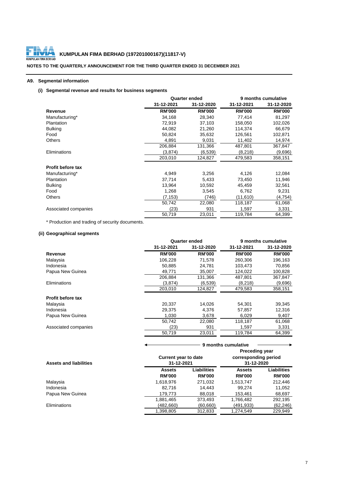

# **KUMPULAN FIMA BERHAD (197201000167)(11817-V)**<br>ULAN FIMA BERHAD

**NOTES TO THE QUARTERLY ANNOUNCEMENT FOR THE THIRD QUARTER ENDED 31 DECEMBER 2021**

## **A9. Segmental information**

## **(i) Segmental revenue and results for business segments**

|                          |               | <b>Quarter ended</b> | 9 months cumulative |               |  |
|--------------------------|---------------|----------------------|---------------------|---------------|--|
|                          | 31-12-2021    | 31-12-2020           | 31-12-2021          | 31-12-2020    |  |
| Revenue                  | <b>RM'000</b> | <b>RM'000</b>        | <b>RM'000</b>       | <b>RM'000</b> |  |
| Manufacturing*           | 34,168        | 28,340               | 77,414              | 81,297        |  |
| Plantation               | 72,919        | 37,103               | 158,050             | 102,026       |  |
| <b>Bulking</b>           | 44,082        | 21,260               | 114,374             | 66,679        |  |
| Food                     | 50,824        | 35,632               | 126,561             | 102,871       |  |
| <b>Others</b>            | 4,891         | 9,031                | 11,402              | 14,974        |  |
|                          | 206,884       | 131,366              | 487,801             | 367,847       |  |
| Eliminations             | (3,874)       | (6,539)              | (8,218)             | (9,696)       |  |
|                          | 203,010       | 124.827              | 479,583             | 358,151       |  |
| <b>Profit before tax</b> |               |                      |                     |               |  |
| Manufacturing*           | 4,949         | 3,256                | 4,126               | 12,084        |  |
| Plantation               | 37,714        | 5,433                | 73,450              | 11,946        |  |
| <b>Bulking</b>           | 13,964        | 10,592               | 45,459              | 32,561        |  |
| Food                     | 1,268         | 3,545                | 6,762               | 9,231         |  |
| <b>Others</b>            | (7,153)       | (746)                | (11,610)            | (4,754)       |  |
|                          | 50,742        | 22,080               | 118,187             | 61,068        |  |
| Associated companies     | (23)          | 931                  | 1,597               | 3,331         |  |
|                          | 50,719        | 23,011               | 119,784             | 64,399        |  |

\* Production and trading of security documents.

## **(ii) Geographical segments**

|                          |               | Quarter ended | 9 months cumulative |               |
|--------------------------|---------------|---------------|---------------------|---------------|
|                          | 31-12-2021    | 31-12-2020    | 31-12-2021          | 31-12-2020    |
| Revenue                  | <b>RM'000</b> | <b>RM'000</b> | <b>RM'000</b>       | <b>RM'000</b> |
| Malaysia                 | 106,228       | 71,578        | 260,306             | 196,163       |
| Indonesia                | 50,885        | 24.781        | 103.473             | 70,856        |
| Papua New Guinea         | 49.771        | 35,007        | 124,022             | 100,828       |
|                          | 206,884       | 131,366       | 487,801             | 367,847       |
| Eliminations             | (3,874)       | (6,539)       | (8,218)             | (9,696)       |
|                          | 203,010       | 124,827       | 479,583             | 358,151       |
| <b>Profit before tax</b> |               |               |                     |               |
| Malaysia                 | 20,337        | 14.026        | 54,301              | 39,345        |
| Indonesia                | 29,375        | 4.376         | 57,857              | 12,316        |
| Papua New Guinea         | 1,030         | 3,678         | 6,029               | 9,407         |
|                          | 50.742        | 22,080        | 118,187             | 61,068        |
| Associated companies     | (23)          | 931           | 1.597               | 3,331         |
|                          | 50,719        | 23,011        | 119,784             | 64.399        |

|                               |               | 9 months cumulative                                                                                      |               |               |  |
|-------------------------------|---------------|----------------------------------------------------------------------------------------------------------|---------------|---------------|--|
| <b>Assets and liabilities</b> |               | <b>Preceding year</b><br>corresponding period<br><b>Current year to date</b><br>31-12-2021<br>31-12-2020 |               |               |  |
|                               | <b>Assets</b> | <b>Liabilities</b>                                                                                       | <b>Assets</b> | Liabilities   |  |
|                               | <b>RM'000</b> | <b>RM'000</b>                                                                                            | <b>RM'000</b> | <b>RM'000</b> |  |
| Malaysia                      | 1,618,976     | 271,032                                                                                                  | 1,513,747     | 212,446       |  |
| Indonesia                     | 82.716        | 14.443                                                                                                   | 99.274        | 11,052        |  |
| Papua New Guinea              | 179,773       | 88,018                                                                                                   | 153.461       | 68,697        |  |
|                               | 1,881,465     | 373,493                                                                                                  | 1,766,482     | 292,195       |  |
| <b>Eliminations</b>           | (482.660)     | (60, 660)                                                                                                | (491, 933)    | (62, 246)     |  |
|                               | 1.398.805     | 312,833                                                                                                  | 1.274.549     | 229,949       |  |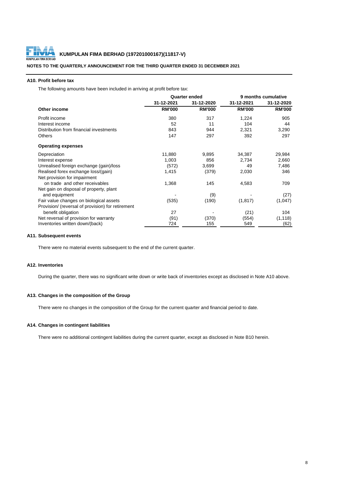

## **A10. Profit before tax**

The following amounts have been included in arriving at profit before tax:

|                                                   | <b>Quarter ended</b> |               | 9 months cumulative |               |  |
|---------------------------------------------------|----------------------|---------------|---------------------|---------------|--|
|                                                   | 31-12-2021           | 31-12-2020    | 31-12-2021          | 31-12-2020    |  |
| Other income                                      | <b>RM'000</b>        | <b>RM'000</b> | <b>RM'000</b>       | <b>RM'000</b> |  |
| Profit income                                     | 380                  | 317           | 1,224               | 905           |  |
| Interest income                                   | 52                   | 11            | 104                 | 44            |  |
| Distribution from financial investments           | 843                  | 944           | 2,321               | 3,290         |  |
| <b>Others</b>                                     | 147                  | 297           | 392                 | 297           |  |
| <b>Operating expenses</b>                         |                      |               |                     |               |  |
| Depreciation                                      | 11,880               | 9,895         | 34,387              | 29,984        |  |
| Interest expense                                  | 1,003                | 856           | 2,734               | 2,660         |  |
| Unrealised foreign exchange (gain)/loss           | (572)                | 3,699         | 49                  | 7,486         |  |
| Realised forex exchange loss/(gain)               | 1,415                | (379)         | 2,030               | 346           |  |
| Net provision for impairment                      |                      |               |                     |               |  |
| on trade and other receivables                    | 1,368                | 145           | 4,583               | 709           |  |
| Net gain on disposal of property, plant           |                      |               |                     |               |  |
| and equipment                                     |                      | (9)           |                     | (27)          |  |
| Fair value changes on biological assets           | (535)                | (190)         | (1, 817)            | (1,047)       |  |
| Provision/ (reversal of provision) for retirement |                      |               |                     |               |  |
| benefit obligation                                | 27                   |               | (21)                | 104           |  |
| Net reversal of provision for warranty            | (91)                 | (370)         | (554)               | (1, 118)      |  |
| Inventories written down/(back)                   | 724                  | 155           | 549                 | (62)          |  |

## **A11. Subsequent events**

There were no material events subsequent to the end of the current quarter.

#### **A12. Inventories**

During the quarter, there was no significant write down or write back of inventories except as disclosed in Note A10 above.

## **A13. Changes in the composition of the Group**

There were no changes in the composition of the Group for the current quarter and financial period to date.

#### **A14. Changes in contingent liabilities**

There were no additional contingent liabilities during the current quarter, except as disclosed in Note B10 herein.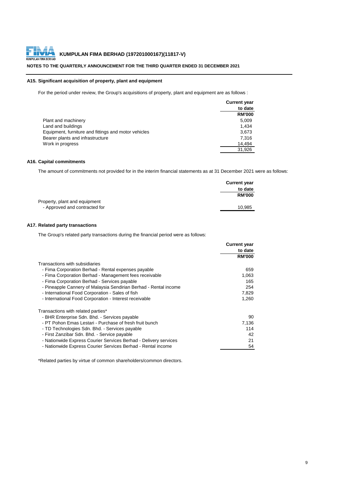## **NOTES TO THE QUARTERLY ANNOUNCEMENT FOR THE THIRD QUARTER ENDED 31 DECEMBER 2021**

#### **A15. Significant acquisition of property, plant and equipment**

For the period under review, the Group's acquisitions of property, plant and equipment are as follows :

|                                                      | <b>Current year</b> |
|------------------------------------------------------|---------------------|
|                                                      | to date             |
|                                                      | <b>RM'000</b>       |
| Plant and machinery                                  | 5,009               |
| Land and buildings                                   | 1.434               |
| Equipment, furniture and fittings and motor vehicles | 3,673               |
| Bearer plants and infrastructure                     | 7.316               |
| Work in progress                                     | 14.494              |
|                                                      | 31,926              |

## **A16. Capital commitments**

The amount of commitments not provided for in the interim financial statements as at 31 December 2021 were as follows:

|                               | <b>Current year</b> |
|-------------------------------|---------------------|
|                               | to date             |
|                               | <b>RM'000</b>       |
| Property, plant and equipment |                     |
| - Approved and contracted for | 10.985              |

#### **A17. Related party transactions**

The Group's related party transactions during the financial period were as follows:

|                                                                  | <b>Current year</b> |
|------------------------------------------------------------------|---------------------|
|                                                                  | to date             |
|                                                                  | <b>RM'000</b>       |
| Transactions with subsidiaries                                   |                     |
| - Fima Corporation Berhad - Rental expenses payable              | 659                 |
| - Fima Corporation Berhad - Management fees receivable           | 1,063               |
| - Fima Corporation Berhad - Services payable                     | 165                 |
| - Pineapple Cannery of Malaysia Sendirian Berhad - Rental income | 254                 |
| - International Food Corporation - Sales of fish                 | 7,829               |
| - International Food Corporation - Interest receivable           | 1,260               |
| Transactions with related parties*                               |                     |
| - BHR Enterprise Sdn. Bhd. - Services payable                    | 90                  |
| - PT Pohon Emas Lestari - Purchase of fresh fruit bunch          | 7,136               |
| - TD Technologies Sdn. Bhd. - Services payable                   | 114                 |
| - First Zanzibar Sdn. Bhd. - Service payable                     | 42                  |
| - Nationwide Express Courier Services Berhad - Delivery services | 21                  |
| - Nationwide Express Courier Services Berhad - Rental income     | 54                  |

\*Related parties by virtue of common shareholders/common directors.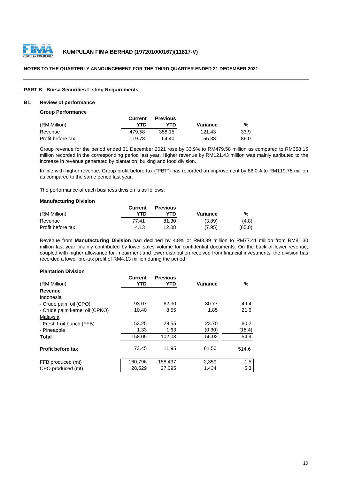

## **PART B - Bursa Securities Listing Requirements**

## **B1. Review of performance**

#### **Group Performance**

|                   | Current | <b>Previous</b> |          |      |
|-------------------|---------|-----------------|----------|------|
| (RM Million)      | YTN     | YTD             | Variance | %    |
| Revenue           | 479.58  | 358.15          | 121.43   | 33.9 |
| Profit before tax | 119.78  | 64.40           | 55.38    | 86.0 |

Group revenue for the period ended 31 December 2021 rose by 33.9% to RM479.58 million as compared to RM358.15 million recorded in the corresponding period last year. Higher revenue by RM121.43 million was mainly attributed to the increase in revenue generated by plantation, bulking and food division.

In line with higher revenue, Group profit before tax ("PBT") has recorded an improvement by 86.0% to RM119.78 million as compared to the same period last year.

The performance of each business division is as follows:

#### **Manufacturing Division**

|                   | <b>Current</b> | <b>Previous</b> |          |        |
|-------------------|----------------|-----------------|----------|--------|
| (RM Million)      | YTD            | YTN             | Variance | %      |
| Revenue           | 77.41          | 81.30           | (3.89)   | (4.8)  |
| Profit before tax | 4.13           | 12.08           | (7.95)   | (65.8) |

Revenue from **Manufacturing Division** had declined by 4.8% or RM3.89 million to RM77.41 million from RM81.30 million last year, mainly contributed by lower sales volume for confidential documents. On the back of lower revenue, coupled with higher allowance for impairment and lower distribution received from financial investments, the division has recorded a lower pre-tax profit of RM4.13 million during the period.

#### **Plantation Division**

|                                | <b>Current</b> | <b>Previous</b> |          |        |
|--------------------------------|----------------|-----------------|----------|--------|
| (RM Million)                   | <b>YTD</b>     | YTD             | Variance | %      |
| Revenue                        |                |                 |          |        |
| Indonesia                      |                |                 |          |        |
| - Crude palm oil (CPO)         | 93.07          | 62.30           | 30.77    | 49.4   |
| - Crude palm kernel oil (CPKO) | 10.40          | 8.55            | 1.85     | 21.6   |
| Malaysia                       |                |                 |          |        |
| - Fresh fruit bunch (FFB)      | 53.25          | 29.55           | 23.70    | 80.2   |
| - Pineapple                    | 1.33           | 1.63            | (0.30)   | (18.4) |
| <b>Total</b>                   | 158.05         | 102.03          | 56.02    | 54.9   |
|                                |                |                 |          |        |
| <b>Profit before tax</b>       | 73.45          | 11.95           | 61.50    | 514.6  |
|                                |                |                 |          |        |
| FFB produced (mt)              | 160,796        | 158,437         | 2,359    | 1.5    |
| CPO produced (mt)              | 28,529         | 27,095          | 1,434    | 5.3    |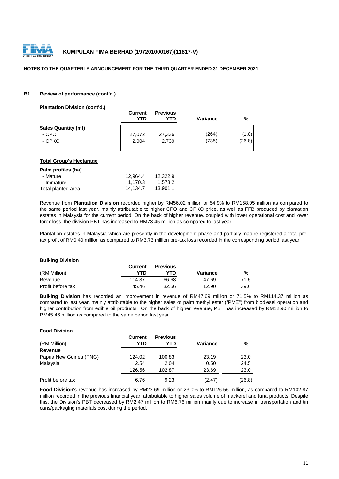

#### **B1. Review of performance (cont'd.)**

**Plantation Division (cont'd.)**

|                            | <b>Current</b><br>YTD | <b>Previous</b><br>YTD | <b>Variance</b> | %      |
|----------------------------|-----------------------|------------------------|-----------------|--------|
| <b>Sales Quantity (mt)</b> |                       |                        |                 |        |
| - CPO                      | 27,072                | 27,336                 | (264)           | (1.0)  |
| - CPKO                     | 2.004                 | 2.739                  | (735)           | (26.8) |

#### **Total Group's Hectarage**

| Palm profiles (ha) |          |          |
|--------------------|----------|----------|
| - Mature           | 12.964.4 | 12.322.9 |
| - Immature         | 1.170.3  | 1.578.2  |
| Total planted area | 14.134.7 | 13.901.1 |

Revenue from **Plantation Division** recorded higher by RM56.02 million or 54.9% to RM158.05 million as compared to the same period last year, mainly attributable to higher CPO and CPKO price, as well as FFB produced by plantation estates in Malaysia for the current period. On the back of higher revenue, coupled with lower operational cost and lower forex loss, the division PBT has increased to RM73.45 million as compared to last year.

Plantation estates in Malaysia which are presently in the development phase and partially mature registered a total pretax profit of RM0.40 million as compared to RM3.73 million pre-tax loss recorded in the corresponding period last year.

#### **Bulking Division**

**Food Division**

|                   | <b>Current</b> | <b>Previous</b> |          |      |
|-------------------|----------------|-----------------|----------|------|
| (RM Million)      | YTD            | ∨ת ר            | Variance | %    |
| Revenue           | 114.37         | 66.68           | 47.69    | 71.5 |
| Profit before tax | 45.46          | 32.56           | 12.90    | 39.6 |

**Bulking Division** has recorded an improvement in revenue of RM47.69 million or 71.5% to RM114.37 million as compared to last year, mainly attributable to the higher sales of palm methyl ester ("PME") from biodiesel operation and higher contribution from edible oil products. On the back of higher revenue, PBT has increased by RM12.90 million to RM45.46 million as compared to the same period last year.

| ווטופוזוע וטטט ו       |                |                        |          |        |
|------------------------|----------------|------------------------|----------|--------|
| (RM Million)           | Current<br>YTD | <b>Previous</b><br>YTD | Variance | %      |
| <b>Revenue</b>         |                |                        |          |        |
| Papua New Guinea (PNG) | 124.02         | 100.83                 | 23.19    | 23.0   |
| Malaysia               | 2.54           | 2.04                   | 0.50     | 24.5   |
|                        | 126.56         | 102.87                 | 23.69    | 23.0   |
| Profit before tax      | 6.76           | 9.23                   | (2.47)   | (26.8) |

**Food Division**'s revenue has increased by RM23.69 million or 23.0% to RM126.56 million, as compared to RM102.87 million recorded in the previous financial year, attributable to higher sales volume of mackerel and tuna products. Despite this, the Division's PBT decreased by RM2.47 million to RM6.76 million mainly due to increase in transportation and tin cans/packaging materials cost during the period.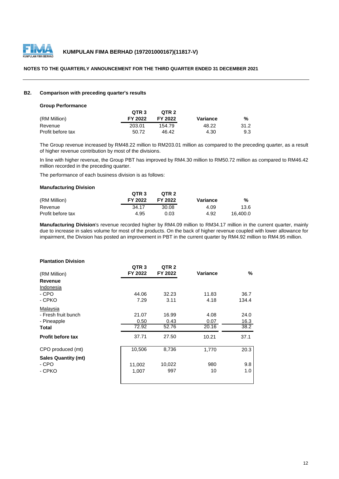

## **B2. Comparison with preceding quarter's results**

#### **Group Performance**

|                   | OTR <sub>3</sub> | OTR <sub>2</sub> |          |      |
|-------------------|------------------|------------------|----------|------|
| (RM Million)      | FY 2022          | FY 2022          | Variance | %    |
| Revenue           | 203.01           | 154.79           | 48.22    | 31.2 |
| Profit before tax | 50.72            | 46.42            | 4.30     | 9.3  |

The Group revenue increased by RM48.22 million to RM203.01 million as compared to the preceding quarter, as a result of higher revenue contribution by most of the divisions.

In line with higher revenue, the Group PBT has improved by RM4.30 million to RM50.72 million as compared to RM46.42 million recorded in the preceding quarter.

The performance of each business division is as follows:

#### **Manufacturing Division**

|                   | QTR <sub>3</sub> | QTR <sub>2</sub> |          |          |
|-------------------|------------------|------------------|----------|----------|
| (RM Million)      | FY 2022          | FY 2022          | Variance | %        |
| Revenue           | 34.17            | 30.08            | 4.09     | 13.6     |
| Profit before tax | 4.95             | 0.03             | 4.92     | 16.400.0 |

**Manufacturing Division**'s revenue recorded higher by RM4.09 million to RM34.17 million in the current quarter, mainly due to increase in sales volume for most of the products. On the back of higher revenue coupled with lower allowance for impairment, the Division has posted an improvement in PBT in the current quarter by RM4.92 million to RM4.95 million.

## **Plantation Division**

|                            | QTR <sub>3</sub> | QTR <sub>2</sub> |          |       |
|----------------------------|------------------|------------------|----------|-------|
| (RM Million)               | FY 2022          | FY 2022          | Variance | %     |
| Revenue                    |                  |                  |          |       |
| Indonesia                  |                  |                  |          |       |
| - CPO                      | 44.06            | 32.23            | 11.83    | 36.7  |
| - CPKO                     | 7.29             | 3.11             | 4.18     | 134.4 |
| Malaysia                   |                  |                  |          |       |
| - Fresh fruit bunch        | 21.07            | 16.99            | 4.08     | 24.0  |
| - Pineapple                | 0.50             | 0.43             | 0.07     | 16.3  |
| Total                      | 72.92            | 52.76            | 20.16    | 38.2  |
| <b>Profit before tax</b>   | 37.71            | 27.50            | 10.21    | 37.1  |
| CPO produced (mt)          | 10,506           | 8,736            | 1,770    | 20.3  |
| <b>Sales Quantity (mt)</b> |                  |                  |          |       |
| - CPO                      | 11,002           | 10,022           | 980      | 9.8   |
| - CPKO                     | 1,007            | 997              | 10       | 1.0   |
|                            |                  |                  |          |       |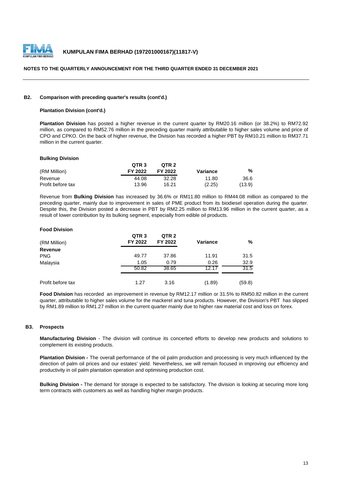

#### **B2. Comparison with preceding quarter's results (cont'd.)**

### **Plantation Division (cont'd.)**

**Plantation Division** has posted a higher revenue in the current quarter by RM20.16 million (or 38.2%) to RM72.92 million, as compared to RM52.76 million in the preceding quarter mainly attributable to higher sales volume and price of CPO and CPKO. On the back of higher revenue, the Division has recorded a higher PBT by RM10.21 million to RM37.71 million in the current quarter.

#### **Bulking Division**

|                   | QTR <sub>3</sub> | OTR <sub>2</sub> |          |        |
|-------------------|------------------|------------------|----------|--------|
| (RM Million)      | FY 2022          | FY 2022          | Variance | %      |
| Revenue           | 44.08            | 32.28            | 11.80    | 36.6   |
| Profit before tax | 13.96            | 16.21            | (2.25)   | (13.9) |

Revenue from **Bulking Division** has increased by 36.6% or RM11.80 million to RM44.08 million as compared to the preceding quarter, mainly due to improvement in sales of PME product from its biodiesel operation during the quarter. Despite this, the Division posted a decrease in PBT by RM2.25 million to RM13.96 million in the current quarter, as a result of lower contribution by its bulking segment, especially from edible oil products.

#### **Food Division**

| (RM Million)      | QTR <sub>3</sub><br>FY 2022 | QTR <sub>2</sub><br>FY 2022 | <b>Variance</b> | %      |
|-------------------|-----------------------------|-----------------------------|-----------------|--------|
| Revenue           |                             |                             |                 |        |
| <b>PNG</b>        | 49.77                       | 37.86                       | 11.91           | 31.5   |
| Malaysia          | 1.05                        | 0.79                        | 0.26            | 32.9   |
|                   | 50.82                       | 38.65                       | 12.17           | 31.5   |
| Profit before tax | 1.27                        | 3.16                        | (1.89)          | (59.8) |

**Food Division** has recorded an improvement in revenue by RM12.17 million or 31.5% to RM50.82 million in the current quarter, attributable to higher sales volume for the mackerel and tuna products. However, the Division's PBT has slipped by RM1.89 million to RM1.27 million in the current quarter mainly due to higher raw material cost and loss on forex.

#### **B3. Prospects**

**Manufacturing Division** - The division will continue its concerted efforts to develop new products and solutions to complement its existing products.

**Plantation Division -** The overall performance of the oil palm production and processing is very much influenced by the direction of palm oil prices and our estates' yield. Nevertheless, we will remain focused in improving our efficiency and productivity in oil palm plantation operation and optimising production cost.

**Bulking Division -** The demand for storage is expected to be satisfactory. The division is looking at securing more long term contracts with customers as well as handling higher margin products.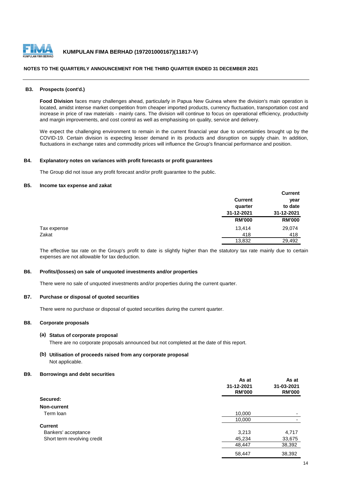

#### **B3. Prospects (cont'd.)**

**Food Division** faces many challenges ahead, particularly in Papua New Guinea where the division's main operation is located, amidst intense market competition from cheaper imported products, currency fluctuation, transportation cost and increase in price of raw materials - mainly cans. The division will continue to focus on operational efficiency, productivity and margin improvements, and cost control as well as emphasising on quality, service and delivery.

We expect the challenging environment to remain in the current financial year due to uncertainties brought up by the COVID-19. Certain division is expecting lesser demand in its products and disruption on supply chain. In addition, fluctuations in exchange rates and commodity prices will influence the Group's financial performance and position.

#### **B4. Explanatory notes on variances with profit forecasts or profit guarantees**

The Group did not issue any profit forecast and/or profit guarantee to the public.

## **B5. Income tax expense and zakat**

|             |                | <b>Current</b> |
|-------------|----------------|----------------|
|             | <b>Current</b> | year           |
|             | quarter        | to date        |
|             | 31-12-2021     | 31-12-2021     |
|             | <b>RM'000</b>  | <b>RM'000</b>  |
| Tax expense | 13,414         | 29,074         |
| Zakat       | 418            | 418            |
|             | 13,832         | 29,492         |

The effective tax rate on the Group's profit to date is slightly higher than the statutory tax rate mainly due to certain expenses are not allowable for tax deduction.

#### **B6. Profits/(losses) on sale of unquoted investments and/or properties**

There were no sale of unquoted investments and/or properties during the current quarter.

#### **B7. Purchase or disposal of quoted securities**

There were no purchase or disposal of quoted securities during the current quarter.

#### **B8. Corporate proposals**

#### **(a) Status of corporate proposal**

There are no corporate proposals announced but not completed at the date of this report.

## **(b) Utilisation of proceeds raised from any corporate proposal** Not applicable.

#### **B9. Borrowings and debt securities**

|                             | As at<br>31-12-2021<br><b>RM'000</b> | As at<br>31-03-2021<br><b>RM'000</b> |
|-----------------------------|--------------------------------------|--------------------------------------|
| Secured:                    |                                      |                                      |
| Non-current                 |                                      |                                      |
| Term loan                   | 10,000                               |                                      |
|                             | 10,000                               |                                      |
| <b>Current</b>              |                                      |                                      |
| Bankers' acceptance         | 3,213                                | 4,717                                |
| Short term revolving credit | 45,234                               | 33,675                               |
|                             | 48,447                               | 38,392                               |
|                             | 58,447                               | 38,392                               |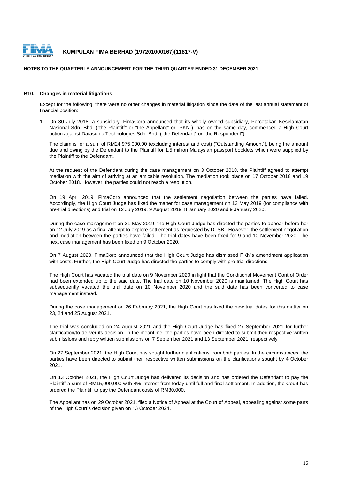

#### **NOTES TO THE QUARTERLY ANNOUNCEMENT FOR THE THIRD QUARTER ENDED 31 DECEMBER 2021**

## **B10. Changes in material litigations**

Except for the following, there were no other changes in material litigation since the date of the last annual statement of financial position:

1. On 30 July 2018, a subsidiary, FimaCorp announced that its wholly owned subsidiary, Percetakan Keselamatan Nasional Sdn. Bhd. ("the Plaintiff" or "the Appellant" or "PKN"), has on the same day, commenced a High Court action against Datasonic Technologies Sdn. Bhd. ("the Defendant" or "the Respondent").

The claim is for a sum of RM24,975,000.00 (excluding interest and cost) ("Outstanding Amount"), being the amount due and owing by the Defendant to the Plaintiff for 1.5 million Malaysian passport booklets which were supplied by the Plaintiff to the Defendant.

At the request of the Defendant during the case management on 3 October 2018, the Plaintiff agreed to attempt mediation with the aim of arriving at an amicable resolution. The mediation took place on 17 October 2018 and 19 October 2018. However, the parties could not reach a resolution.

On 19 April 2019, FimaCorp announced that the settlement negotiation between the parties have failed. Accordingly, the High Court Judge has fixed the matter for case management on 13 May 2019 (for compliance with pre-trial directions) and trial on 12 July 2019, 9 August 2019, 8 January 2020 and 9 January 2020.

During the case management on 31 May 2019, the High Court Judge has directed the parties to appear before her on 12 July 2019 as a final attempt to explore settlement as requested by DTSB. However, the settlement negotiation and mediation between the parties have failed. The trial dates have been fixed for 9 and 10 November 2020. The next case management has been fixed on 9 October 2020.

On 7 August 2020, FimaCorp announced that the High Court Judge has dismissed PKN's amendment application with costs. Further, the High Court Judge has directed the parties to comply with pre-trial directions.

The High Court has vacated the trial date on 9 November 2020 in light that the Conditional Movement Control Order had been extended up to the said date. The trial date on 10 November 2020 is maintained. The High Court has subsequently vacated the trial date on 10 November 2020 and the said date has been converted to case management instead.

During the case management on 26 February 2021, the High Court has fixed the new trial dates for this matter on 23, 24 and 25 August 2021.

The trial was concluded on 24 August 2021 and the High Court Judge has fixed 27 September 2021 for further clarification/to deliver its decision. In the meantime, the parties have been directed to submit their respective written submissions and reply written submissions on 7 September 2021 and 13 September 2021, respectively.

On 27 September 2021, the High Court has sought further clarifications from both parties. In the circumstances, the parties have been directed to submit their respective written submissions on the clarifications sought by 4 October 2021.

On 13 October 2021, the High Court Judge has delivered its decision and has ordered the Defendant to pay the Plaintiff a sum of RM15,000,000 with 4% interest from today until full and final settlement. In addition, the Court has ordered the Plaintiff to pay the Defendant costs of RM30,000.

The Appellant has on 29 October 2021, filed a Notice of Appeal at the Court of Appeal, appealing against some parts of the High Court's decision given on 13 October 2021.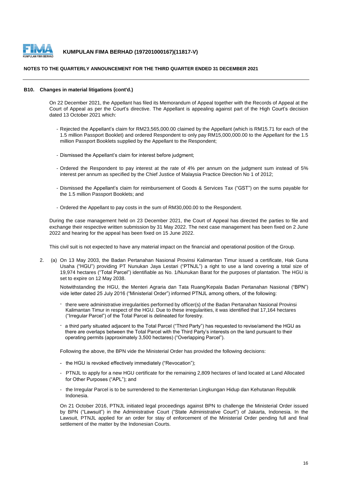

#### **NOTES TO THE QUARTERLY ANNOUNCEMENT FOR THE THIRD QUARTER ENDED 31 DECEMBER 2021**

#### **B10. Changes in material litigations (cont'd.)**

On 22 December 2021, the Appellant has filed its Memorandum of Appeal together with the Records of Appeal at the Court of Appeal as per the Court's directive. The Appellant is appealing against part of the High Court's decision dated 13 October 2021 which:

- Rejected the Appellant's claim for RM23,565,000.00 claimed by the Appellant (which is RM15.71 for each of the 1.5 million Passport Booklet) and ordered Respondent to only pay RM15,000,000.00 to the Appellant for the 1.5 million Passport Booklets supplied by the Appellant to the Respondent;
- Dismissed the Appellant's claim for interest before judgment;
- Ordered the Respondent to pay interest at the rate of 4% per annum on the judgment sum instead of 5% interest per annum as specified by the Chief Justice of Malaysia Practice Direction No 1 of 2012;
- Dismissed the Appellant's claim for reimbursement of Goods & Services Tax ("GST") on the sums payable for the 1.5 million Passport Booklets; and
- Ordered the Appellant to pay costs in the sum of RM30,000.00 to the Respondent.

During the case management held on 23 December 2021, the Court of Appeal has directed the parties to file and exchange their respective written submission by 31 May 2022. The next case management has been fixed on 2 June 2022 and hearing for the appeal has been fixed on 15 June 2022.

This civil suit is not expected to have any material impact on the financial and operational position of the Group.

2. (a) On 13 May 2003, the Badan Pertanahan Nasional Provinsi Kalimantan Timur issued a certificate, Hak Guna Usaha ("HGU") providing PT Nunukan Jaya Lestari ("PTNJL") a right to use a land covering a total size of 19,974 hectares ("Total Parcel") identifiable as No. 1/Nunukan Barat for the purposes of plantation. The HGU is set to expire on 12 May 2038.

Notwithstanding the HGU, the Menteri Agraria dan Tata Ruang/Kepala Badan Pertanahan Nasional ("BPN") vide letter dated 25 July 2016 ("Ministerial Order") informed PTNJL among others, of the following:

- there were administrative irregularities performed by officer(s) of the Badan Pertanahan Nasional Provinsi Kalimantan Timur in respect of the HGU. Due to these irregularities, it was identified that 17,164 hectares ("Irregular Parcel") of the Total Parcel is delineated for forestry.
- a third party situated adjacent to the Total Parcel ("Third Party") has requested to revise/amend the HGU as there are overlaps between the Total Parcel with the Third Party's interests on the land pursuant to their operating permits (approximately 3,500 hectares) ("Overlapping Parcel").

Following the above, the BPN vide the Ministerial Order has provided the following decisions:

- the HGU is revoked effectively immediately ("Revocation");
- PTNJL to apply for a new HGU certificate for the remaining 2,809 hectares of land located at Land Allocated for Other Purposes ("APL"); and
- the Irregular Parcel is to be surrendered to the Kementerian Lingkungan Hidup dan Kehutanan Republik Indonesia.

On 21 October 2016, PTNJL initiated legal proceedings against BPN to challenge the Ministerial Order issued by BPN ("Lawsuit") in the Administrative Court ("State Administrative Court") of Jakarta, Indonesia. In the Lawsuit, PTNJL applied for an order for stay of enforcement of the Ministerial Order pending full and final settlement of the matter by the Indonesian Courts.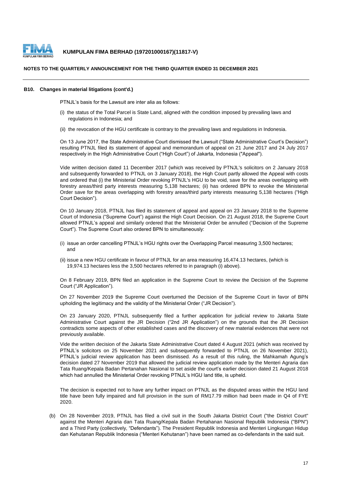

#### **NOTES TO THE QUARTERLY ANNOUNCEMENT FOR THE THIRD QUARTER ENDED 31 DECEMBER 2021**

#### **B10. Changes in material litigations (cont'd.)**

PTNJL's basis for the Lawsuit are inter alia as follows:

- (i) the status of the Total Parcel is State Land, aligned with the condition imposed by prevailing laws and regulations in Indonesia; and
- (ii) the revocation of the HGU certificate is contrary to the prevailing laws and regulations in Indonesia.

On 13 June 2017, the State Administrative Court dismissed the Lawsuit ("State Administrative Court's Decision") resulting PTNJL filed its statement of appeal and memorandum of appeal on 21 June 2017 and 24 July 2017 respectively in the High Administrative Court ("High Court") of Jakarta, Indonesia ("Appeal").

Vide written decision dated 11 December 2017 (which was received by PTNJL's solicitors on 2 January 2018 and subsequently forwarded to PTNJL on 3 January 2018), the High Court partly allowed the Appeal with costs and ordered that (i) the Ministerial Order revoking PTNJL's HGU to be void, save for the areas overlapping with forestry areas/third party interests measuring 5,138 hectares; (ii) has ordered BPN to revoke the Ministerial Order save for the areas overlapping with forestry areas/third party interests measuring 5,138 hectares ("High Court Decision").

On 10 January 2018, PTNJL has filed its statement of appeal and appeal on 23 January 2018 to the Supreme Court of Indonesia ("Supreme Court") against the High Court Decision. On 21 August 2018, the Supreme Court allowed PTNJL's appeal and similarly ordered that the Ministerial Order be annulled ("Decision of the Supreme Court"). The Supreme Court also ordered BPN to simultaneously:

- (i) issue an order cancelling PTNJL's HGU rights over the Overlapping Parcel measuring 3,500 hectares; and
- (ii) issue a new HGU certificate in favour of PTNJL for an area measuring 16,474.13 hectares, (which is 19,974.13 hectares less the 3,500 hectares referred to in paragraph (i) above).

On 8 February 2019, BPN filed an application in the Supreme Court to review the Decision of the Supreme Court ("JR Application").

On 27 November 2019 the Supreme Court overturned the Decision of the Supreme Court in favor of BPN upholding the legitimacy and the validity of the Ministerial Order ("JR Decision").

On 23 January 2020, PTNJL subsequently filed a further application for judicial review to Jakarta State Administrative Court against the JR Decision ("2nd JR Application") on the grounds that the JR Decision contradicts some aspects of other established cases and the discovery of new material evidences that were not previously available.

Vide the written decision of the Jakarta State Administrative Court dated 4 August 2021 (which was received by PTNJL's solicitors on 25 November 2021 and subsequently forwarded to PTNJL on 26 November 2021), PTNJL's judicial review application has been dismissed. As a result of this ruling, the Mahkamah Agung's decision dated 27 November 2019 that allowed the judicial review application made by the Menteri Agraria dan Tata Ruang/Kepala Badan Pertanahan Nasional to set aside the court's earlier decision dated 21 August 2018 which had annulled the Ministerial Order revoking PTNJL's HGU land title, is upheld.

The decision is expected not to have any further impact on PTNJL as the disputed areas within the HGU land title have been fully impaired and full provision in the sum of RM17.79 million had been made in Q4 of FYE 2020.

(b) On 28 November 2019, PTNJL has filed a civil suit in the South Jakarta District Court ("the District Court" against the Menteri Agraria dan Tata Ruang/Kepala Badan Pertahanan Nasional Republik Indonesia ("BPN") and a Third Party (collectively, "Defendants"). The President Republik Indonesia and Menteri Lingkungan Hidup dan Kehutanan Republik Indonesia ("Menteri Kehutanan") have been named as co-defendants in the said suit.